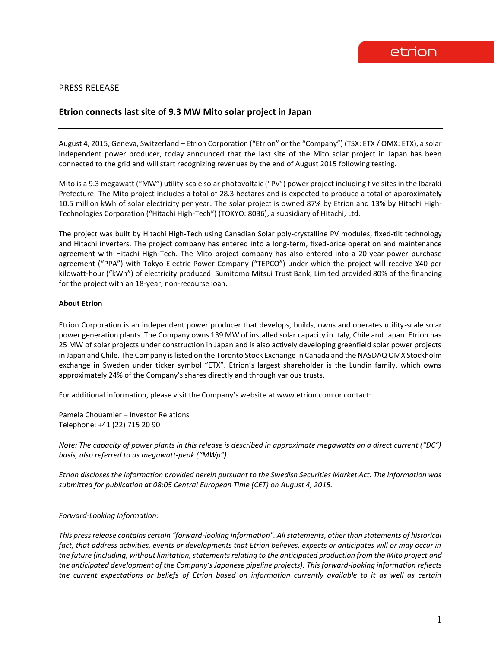## PRESS RELEASE

## **Etrion connects last site of 9.3 MW Mito solar project in Japan**

August 4, 2015, Geneva, Switzerland – Etrion Corporation ("Etrion" or the "Company") (TSX: ETX / OMX: ETX), a solar independent power producer, today announced that the last site of the Mito solar project in Japan has been connected to the grid and will start recognizing revenues by the end of August 2015 following testing.

Mito is a 9.3 megawatt ("MW") utility-scale solar photovoltaic ("PV") power project including five sites in the Ibaraki Prefecture. The Mito project includes a total of 28.3 hectares and is expected to produce a total of approximately 10.5 million kWh of solar electricity per year. The solar project is owned 87% by Etrion and 13% by Hitachi High-Technologies Corporation ("Hitachi High-Tech") (TOKYO: 8036), a subsidiary of Hitachi, Ltd.

The project was built by Hitachi High-Tech using Canadian Solar poly-crystalline PV modules, fixed-tilt technology and Hitachi inverters. The project company has entered into a long-term, fixed-price operation and maintenance agreement with Hitachi High-Tech. The Mito project company has also entered into a 20-year power purchase agreement ("PPA") with Tokyo Electric Power Company ("TEPCO") under which the project will receive ¥40 per kilowatt-hour ("kWh") of electricity produced. Sumitomo Mitsui Trust Bank, Limited provided 80% of the financing for the project with an 18-year, non-recourse loan.

## **About Etrion**

Etrion Corporation is an independent power producer that develops, builds, owns and operates utility-scale solar power generation plants. The Company owns 139 MW of installed solar capacity in Italy, Chile and Japan. Etrion has 25 MW of solar projects under construction in Japan and is also actively developing greenfield solar power projects in Japan and Chile. The Company is listed on the Toronto Stock Exchange in Canada and the NASDAQ OMX Stockholm exchange in Sweden under ticker symbol "ETX". Etrion's largest shareholder is the Lundin family, which owns approximately 24% of the Company's shares directly and through various trusts.

For additional information, please visit the Company's website at www.etrion.com or contact:

Pamela Chouamier – Investor Relations Telephone: +41 (22) 715 20 90

*Note: The capacity of power plants in this release is described in approximate megawatts on a direct current ("DC") basis, also referred to as megawatt-peak ("MWp").*

*Etrion discloses the information provided herein pursuant to the Swedish Securities Market Act. The information was submitted for publication at 08:05 Central European Time (CET) on August 4, 2015.*

## *Forward-Looking Information:*

*This press release contains certain "forward-looking information". All statements, other than statements of historical*  fact, that address activities, events or developments that Etrion believes, expects or anticipates will or may occur in *the future (including, without limitation, statements relating to the anticipated production from the Mito project and the anticipated development of the Company's Japanese pipeline projects). This forward-looking information reflects the current expectations or beliefs of Etrion based on information currently available to it as well as certain*